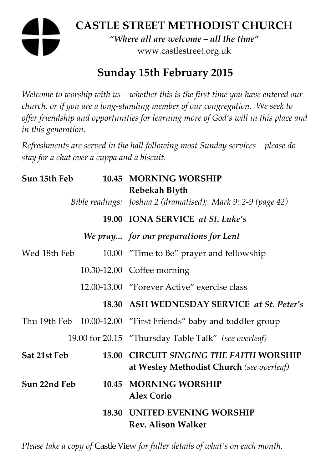# **CASTLE STREET METHODIST CHURCH**

*"Where all are welcome – all the time"*  www.castlestreet.org.uk

## **Sunday 15th February 2015**

*Welcome to worship with us – whether this is the first time you have entered our church, or if you are a long-standing member of our congregation. We seek to offer friendship and opportunities for learning more of God's will in this place and in this generation.* 

*Refreshments are served in the hall following most Sunday services – please do stay for a chat over a cuppa and a biscuit.* 

| Sun 15th Feb |  | 10.45 MORNING WORSHIP<br>Rebekah Blyth                                               |
|--------------|--|--------------------------------------------------------------------------------------|
|              |  | Bible readings: Joshua 2 (dramatised); Mark 9: 2-9 (page 42)                         |
|              |  | 19.00 IONA SERVICE at St. Luke's                                                     |
|              |  | We pray for our preparations for Lent                                                |
| Wed 18th Feb |  | 10.00 "Time to Be" prayer and fellowship                                             |
|              |  | 10.30-12.00 Coffee morning                                                           |
|              |  | 12.00-13.00 "Forever Active" exercise class                                          |
|              |  | 18.30 ASH WEDNESDAY SERVICE at St. Peter's                                           |
|              |  | Thu 19th Feb 10.00-12.00 "First Friends" baby and toddler group                      |
|              |  | 19.00 for 20.15 "Thursday Table Talk" (see overleaf)                                 |
| Sat 21st Feb |  | 15.00 CIRCUIT SINGING THE FAITH WORSHIP<br>at Wesley Methodist Church (see overleaf) |
| Sun 22nd Feb |  | 10.45 MORNING WORSHIP<br><b>Alex Corio</b>                                           |
|              |  | <b>18.30 UNITED EVENING WORSHIP</b><br><b>Rev. Alison Walker</b>                     |

*Please take a copy of* Castle View *for fuller details of what's on each month.*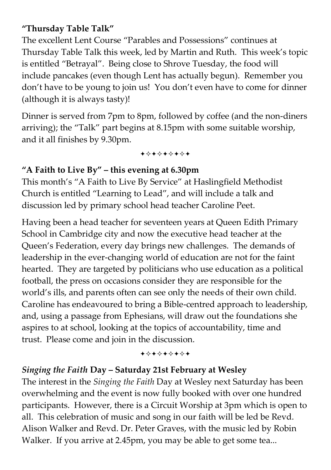#### **"Thursday Table Talk"**

The excellent Lent Course "Parables and Possessions" continues at Thursday Table Talk this week, led by Martin and Ruth. This week's topic is entitled "Betrayal". Being close to Shrove Tuesday, the food will include pancakes (even though Lent has actually begun). Remember you don't have to be young to join us! You don't even have to come for dinner (although it is always tasty)!

Dinner is served from 7pm to 8pm, followed by coffee (and the non-diners arriving); the "Talk" part begins at 8.15pm with some suitable worship, and it all finishes by 9.30pm.

+\*\*\*\*\*\*\*

#### **"A Faith to Live By" – this evening at 6.30pm**

This month's "A Faith to Live By Service" at Haslingfield Methodist Church is entitled "Learning to Lead", and will include a talk and discussion led by primary school head teacher Caroline Peet.

Having been a head teacher for seventeen years at Queen Edith Primary School in Cambridge city and now the executive head teacher at the Queen's Federation, every day brings new challenges. The demands of leadership in the ever-changing world of education are not for the faint hearted. They are targeted by politicians who use education as a political football, the press on occasions consider they are responsible for the world's ills, and parents often can see only the needs of their own child. Caroline has endeavoured to bring a Bible-centred approach to leadership, and, using a passage from Ephesians, will draw out the foundations she aspires to at school, looking at the topics of accountability, time and trust. Please come and join in the discussion.

#### +\*+\*\*\*\*\*

#### *Singing the Faith* **Day – Saturday 21st February at Wesley**

The interest in the *Singing the Faith* Day at Wesley next Saturday has been overwhelming and the event is now fully booked with over one hundred participants. However, there is a Circuit Worship at 3pm which is open to all. This celebration of music and song in our faith will be led be Revd. Alison Walker and Revd. Dr. Peter Graves, with the music led by Robin Walker. If you arrive at 2.45pm, you may be able to get some tea...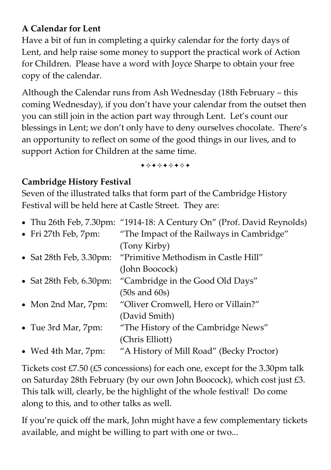### **A Calendar for Lent**

Have a bit of fun in completing a quirky calendar for the forty days of Lent, and help raise some money to support the practical work of Action for Children. Please have a word with Joyce Sharpe to obtain your free copy of the calendar.

Although the Calendar runs from Ash Wednesday (18th February – this coming Wednesday), if you don't have your calendar from the outset then you can still join in the action part way through Lent. Let's count our blessings in Lent; we don't only have to deny ourselves chocolate. There's an opportunity to reflect on some of the good things in our lives, and to support Action for Children at the same time.

+\*+\*\*\*\*+

#### **Cambridge History Festival**

Seven of the illustrated talks that form part of the Cambridge History Festival will be held here at Castle Street. They are:

|                                    | • Thu 26th Feb, 7.30pm: "1914-18: A Century On" (Prof. David Reynolds) |
|------------------------------------|------------------------------------------------------------------------|
| • Fri 27th Feb, 7pm:               | "The Impact of the Railways in Cambridge"                              |
|                                    | (Tony Kirby)                                                           |
| • Sat 28th Feb, $3.30 \text{pm}$ : | "Primitive Methodism in Castle Hill"                                   |
|                                    | (John Boocock)                                                         |
| • Sat 28th Feb, $6.30 \text{pm}$ : | "Cambridge in the Good Old Days"                                       |
|                                    | $(50s$ and $60s)$                                                      |
| • Mon 2nd Mar, 7pm:                | "Oliver Cromwell, Hero or Villain?"                                    |
|                                    | (David Smith)                                                          |
| • Tue 3rd Mar, 7pm:                | "The History of the Cambridge News"                                    |
|                                    | (Chris Elliott)                                                        |
| • Wed 4th Mar, 7pm:                | "A History of Mill Road" (Becky Proctor)                               |

Tickets cost £7.50 (£5 concessions) for each one, except for the 3.30pm talk on Saturday 28th February (by our own John Boocock), which cost just £3. This talk will, clearly, be the highlight of the whole festival! Do come along to this, and to other talks as well.

If you're quick off the mark, John might have a few complementary tickets available, and might be willing to part with one or two...